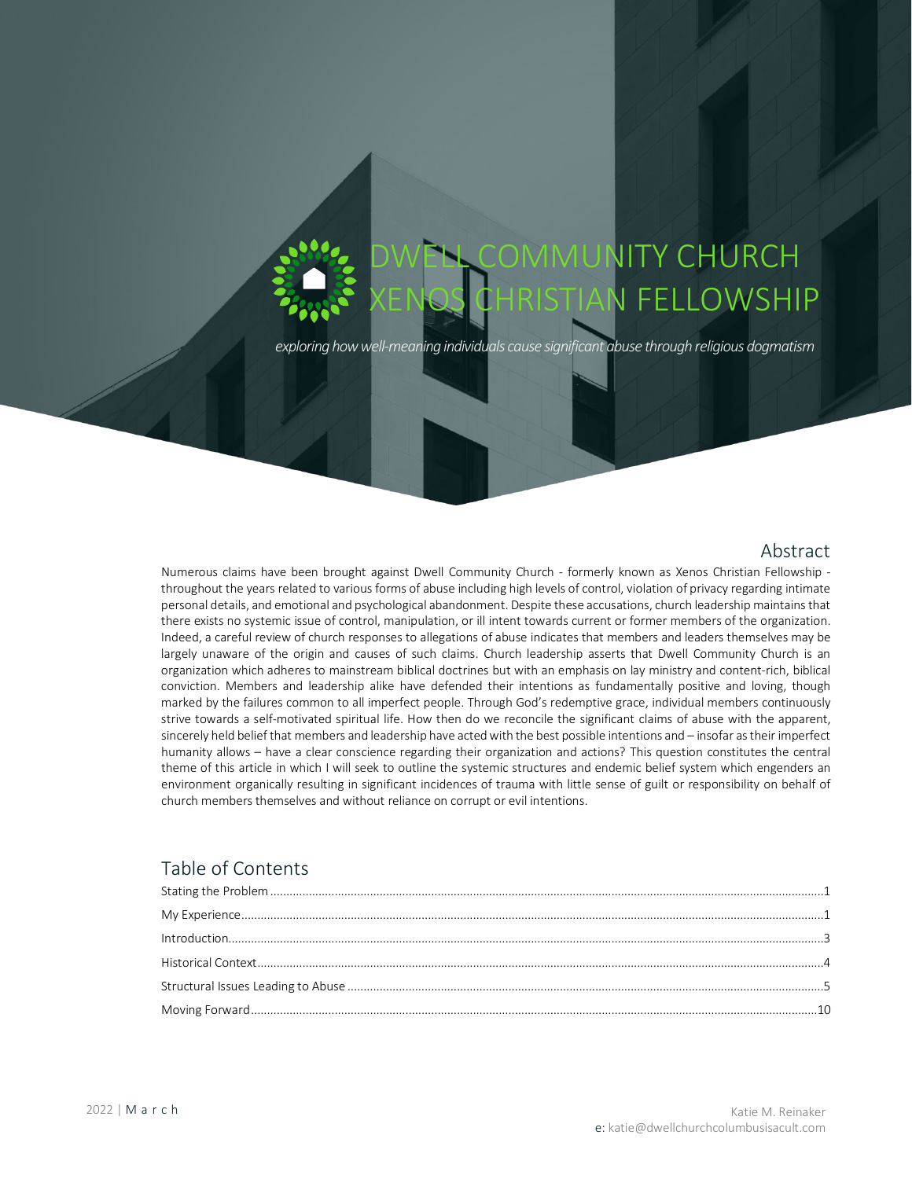# **MUNITY CHURCH** N FELLOWSHIP

*exploring howwell-meaning individuals cause significant abuse through religious dogmatism*

## Abstract

Numerous claims have been brought against Dwell Community Church - formerly known as Xenos Christian Fellowship throughout the years related to various forms of abuse including high levels of control, violation of privacy regarding intimate personal details, and emotional and psychological abandonment. Despite these accusations, church leadership maintains that there exists no systemic issue of control, manipulation, or ill intent towards current or former members of the organization. Indeed, a careful review of church responses to allegations of abuse indicates that members and leaders themselves may be largely unaware of the origin and causes of such claims. Church leadership asserts that Dwell Community Church is an organization which adheres to mainstream biblical doctrines but with an emphasis on lay ministry and content-rich, biblical conviction. Members and leadership alike have defended their intentions as fundamentally positive and loving, though marked by the failures common to all imperfect people. Through God's redemptive grace, individual members continuously strive towards a self-motivated spiritual life. How then do we reconcile the significant claims of abuse with the apparent, sincerely held belief that members and leadership have acted with the best possible intentions and – insofar as their imperfect humanity allows – have a clear conscience regarding their organization and actions? This question constitutes the central theme of this article in which I will seek to outline the systemic structures and endemic belief system which engenders an environment organically resulting in significant incidences of trauma with little sense of guilt or responsibility on behalf of church members themselves and without reliance on corrupt or evil intentions.

# Table of Contents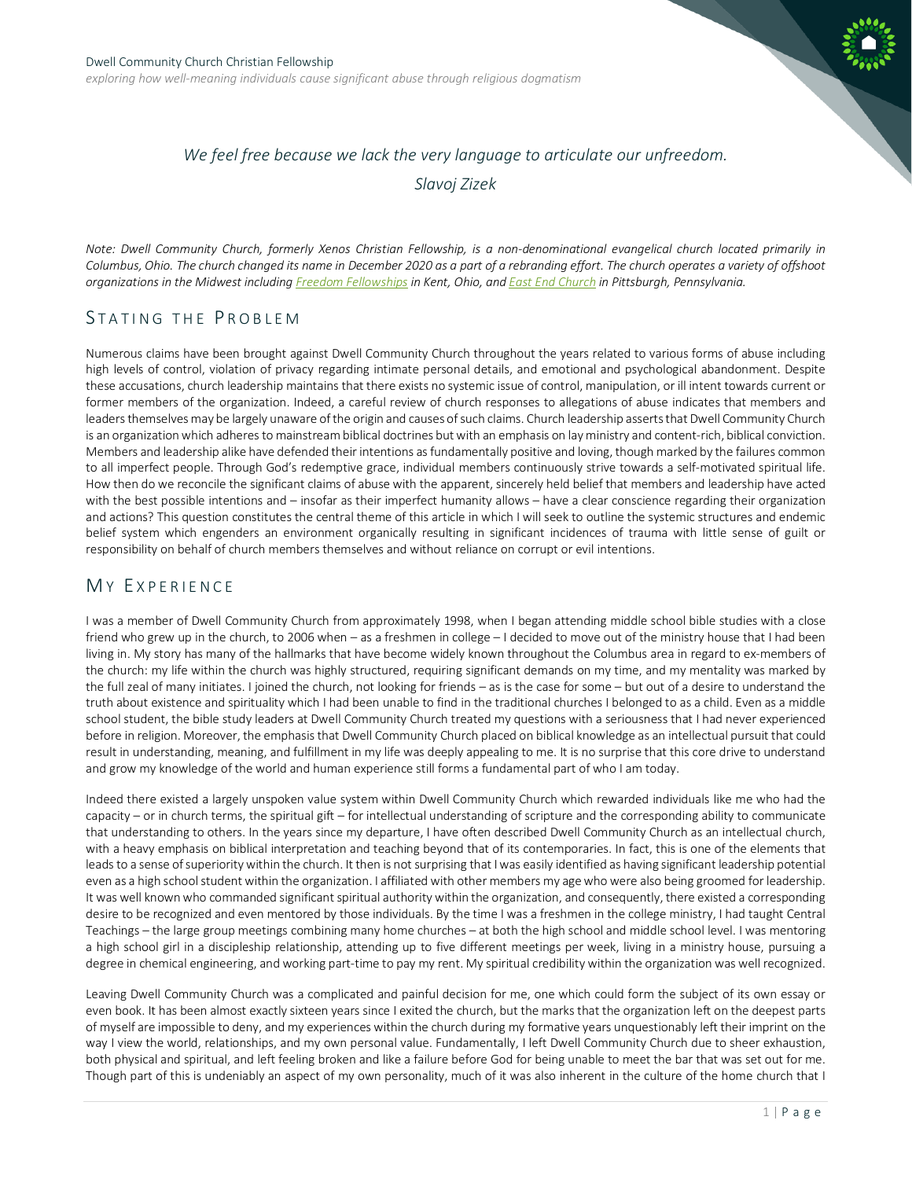

# *We feel free because we lack the very language to articulate our unfreedom. Slavoj Zizek*

*Note: Dwell Community Church, formerly Xenos Christian Fellowship, is a non-denominational evangelical church located primarily in Columbus, Ohio. The church changed its name in December 2020 as a part of a rebranding effort. The church operates a variety of offshoot organizations in the Midwest including [Freedom Fellowships](https://freedomfellowships.org/) in Kent, Ohio, an[d East End Church](http://eastendpgh.org/index.php/who-we-are/) in Pittsburgh, Pennsylvania.* 

## <span id="page-1-0"></span>STATING THE PROBLEM

Numerous claims have been brought against Dwell Community Church throughout the years related to various forms of abuse including high levels of control, violation of privacy regarding intimate personal details, and emotional and psychological abandonment. Despite these accusations, church leadership maintains that there exists no systemic issue of control, manipulation, or ill intent towards current or former members of the organization. Indeed, a careful review of church responses to allegations of abuse indicates that members and leaders themselves may be largely unaware of the origin and causes of such claims. Church leadership asserts that Dwell Community Church is an organization which adheres to mainstream biblical doctrines but with an emphasis on lay ministry and content-rich, biblical conviction. Members and leadership alike have defended their intentions as fundamentally positive and loving, though marked by the failures common to all imperfect people. Through God's redemptive grace, individual members continuously strive towards a self-motivated spiritual life. How then do we reconcile the significant claims of abuse with the apparent, sincerely held belief that members and leadership have acted with the best possible intentions and – insofar as their imperfect humanity allows – have a clear conscience regarding their organization and actions? This question constitutes the central theme of this article in which I will seek to outline the systemic structures and endemic belief system which engenders an environment organically resulting in significant incidences of trauma with little sense of guilt or responsibility on behalf of church members themselves and without reliance on corrupt or evil intentions.

## <span id="page-1-1"></span>MY EXPERIENCE

I was a member of Dwell Community Church from approximately 1998, when I began attending middle school bible studies with a close friend who grew up in the church, to 2006 when – as a freshmen in college – I decided to move out of the ministry house that I had been living in. My story has many of the hallmarks that have become widely known throughout the Columbus area in regard to ex-members of the church: my life within the church was highly structured, requiring significant demands on my time, and my mentality was marked by the full zeal of many initiates. I joined the church, not looking for friends – as is the case for some – but out of a desire to understand the truth about existence and spirituality which I had been unable to find in the traditional churches I belonged to as a child. Even as a middle school student, the bible study leaders at Dwell Community Church treated my questions with a seriousness that I had never experienced before in religion. Moreover, the emphasis that Dwell Community Church placed on biblical knowledge as an intellectual pursuit that could result in understanding, meaning, and fulfillment in my life was deeply appealing to me. It is no surprise that this core drive to understand and grow my knowledge of the world and human experience still forms a fundamental part of who I am today.

Indeed there existed a largely unspoken value system within Dwell Community Church which rewarded individuals like me who had the capacity – or in church terms, the spiritual gift – for intellectual understanding of scripture and the corresponding ability to communicate that understanding to others. In the years since my departure, I have often described Dwell Community Church as an intellectual church, with a heavy emphasis on biblical interpretation and teaching beyond that of its contemporaries. In fact, this is one of the elements that leads to a sense of superiority within the church. It then is not surprising that I was easily identified as having significant leadership potential even as a high school student within the organization. I affiliated with other members my age who were also being groomed for leadership. It was well known who commanded significant spiritual authority within the organization, and consequently, there existed a corresponding desire to be recognized and even mentored by those individuals. By the time I was a freshmen in the college ministry, I had taught Central Teachings – the large group meetings combining many home churches – at both the high school and middle school level. I was mentoring a high school girl in a discipleship relationship, attending up to five different meetings per week, living in a ministry house, pursuing a degree in chemical engineering, and working part-time to pay my rent. My spiritual credibility within the organization was well recognized.

Leaving Dwell Community Church was a complicated and painful decision for me, one which could form the subject of its own essay or even book. It has been almost exactly sixteen years since I exited the church, but the marks that the organization left on the deepest parts of myself are impossible to deny, and my experiences within the church during my formative years unquestionably left their imprint on the way I view the world, relationships, and my own personal value. Fundamentally, I left Dwell Community Church due to sheer exhaustion, both physical and spiritual, and left feeling broken and like a failure before God for being unable to meet the bar that was set out for me. Though part of this is undeniably an aspect of my own personality, much of it was also inherent in the culture of the home church that I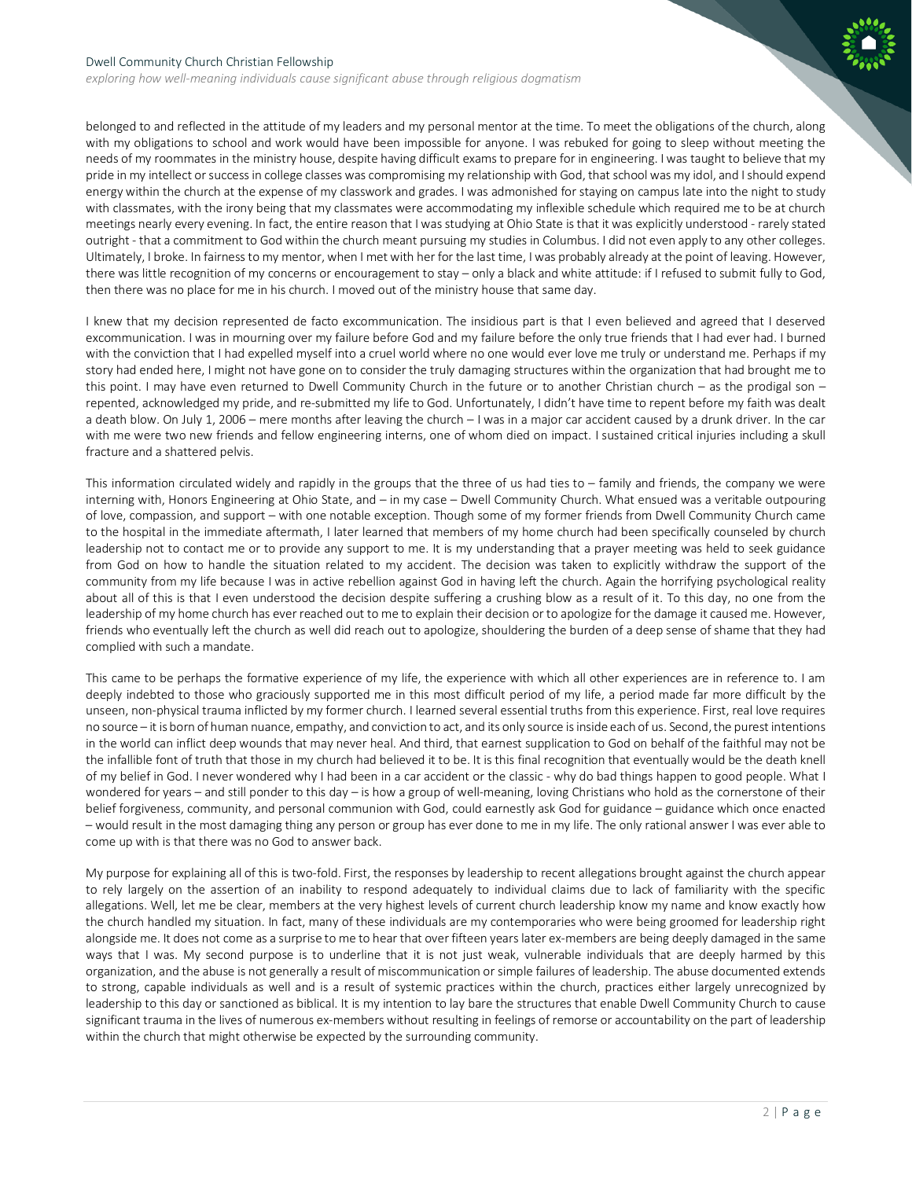*exploring how well-meaning individuals cause significant abuse through religious dogmatism*

belonged to and reflected in the attitude of my leaders and my personal mentor at the time. To meet the obligations of the church, along with my obligations to school and work would have been impossible for anyone. I was rebuked for going to sleep without meeting the needs of my roommates in the ministry house, despite having difficult exams to prepare for in engineering. I was taught to believe that my pride in my intellect or success in college classes was compromising my relationship with God, that school was my idol, and I should expend energy within the church at the expense of my classwork and grades. I was admonished for staying on campus late into the night to study with classmates, with the irony being that my classmates were accommodating my inflexible schedule which required me to be at church meetings nearly every evening. In fact, the entire reason that I was studying at Ohio State is that it was explicitly understood - rarely stated outright - that a commitment to God within the church meant pursuing my studies in Columbus. I did not even apply to any other colleges. Ultimately, I broke. In fairness to my mentor, when I met with her for the last time, I was probably already at the point of leaving. However, there was little recognition of my concerns or encouragement to stay – only a black and white attitude: if I refused to submit fully to God, then there was no place for me in his church. I moved out of the ministry house that same day.

I knew that my decision represented de facto excommunication. The insidious part is that I even believed and agreed that I deserved excommunication. I was in mourning over my failure before God and my failure before the only true friends that I had ever had. I burned with the conviction that I had expelled myself into a cruel world where no one would ever love me truly or understand me. Perhaps if my story had ended here, I might not have gone on to consider the truly damaging structures within the organization that had brought me to this point. I may have even returned to Dwell Community Church in the future or to another Christian church – as the prodigal son – repented, acknowledged my pride, and re-submitted my life to God. Unfortunately, I didn't have time to repent before my faith was dealt a death blow. On July 1, 2006 – mere months after leaving the church – I was in a major car accident caused by a drunk driver. In the car with me were two new friends and fellow engineering interns, one of whom died on impact. I sustained critical injuries including a skull fracture and a shattered pelvis.

This information circulated widely and rapidly in the groups that the three of us had ties to – family and friends, the company we were interning with, Honors Engineering at Ohio State, and – in my case – Dwell Community Church. What ensued was a veritable outpouring of love, compassion, and support – with one notable exception. Though some of my former friends from Dwell Community Church came to the hospital in the immediate aftermath, I later learned that members of my home church had been specifically counseled by church leadership not to contact me or to provide any support to me. It is my understanding that a prayer meeting was held to seek guidance from God on how to handle the situation related to my accident. The decision was taken to explicitly withdraw the support of the community from my life because I was in active rebellion against God in having left the church. Again the horrifying psychological reality about all of this is that I even understood the decision despite suffering a crushing blow as a result of it. To this day, no one from the leadership of my home church has ever reached out to me to explain their decision or to apologize for the damage it caused me. However, friends who eventually left the church as well did reach out to apologize, shouldering the burden of a deep sense of shame that they had complied with such a mandate.

This came to be perhaps the formative experience of my life, the experience with which all other experiences are in reference to. I am deeply indebted to those who graciously supported me in this most difficult period of my life, a period made far more difficult by the unseen, non-physical trauma inflicted by my former church. I learned several essential truths from this experience. First, real love requires no source – it is born of human nuance, empathy, and conviction to act, and its only source is inside each of us. Second, the purest intentions in the world can inflict deep wounds that may never heal. And third, that earnest supplication to God on behalf of the faithful may not be the infallible font of truth that those in my church had believed it to be. It is this final recognition that eventually would be the death knell of my belief in God. I never wondered why I had been in a car accident or the classic - why do bad things happen to good people. What I wondered for years – and still ponder to this day – is how a group of well-meaning, loving Christians who hold as the cornerstone of their belief forgiveness, community, and personal communion with God, could earnestly ask God for guidance – guidance which once enacted – would result in the most damaging thing any person or group has ever done to me in my life. The only rational answer I was ever able to come up with is that there was no God to answer back.

My purpose for explaining all of this is two-fold. First, the responses by leadership to recent allegations brought against the church appear to rely largely on the assertion of an inability to respond adequately to individual claims due to lack of familiarity with the specific allegations. Well, let me be clear, members at the very highest levels of current church leadership know my name and know exactly how the church handled my situation. In fact, many of these individuals are my contemporaries who were being groomed for leadership right alongside me. It does not come as a surprise to me to hear that over fifteen years later ex-members are being deeply damaged in the same ways that I was. My second purpose is to underline that it is not just weak, vulnerable individuals that are deeply harmed by this organization, and the abuse is not generally a result of miscommunication or simple failures of leadership. The abuse documented extends to strong, capable individuals as well and is a result of systemic practices within the church, practices either largely unrecognized by leadership to this day or sanctioned as biblical. It is my intention to lay bare the structures that enable Dwell Community Church to cause significant trauma in the lives of numerous ex-members without resulting in feelings of remorse or accountability on the part of leadership within the church that might otherwise be expected by the surrounding community.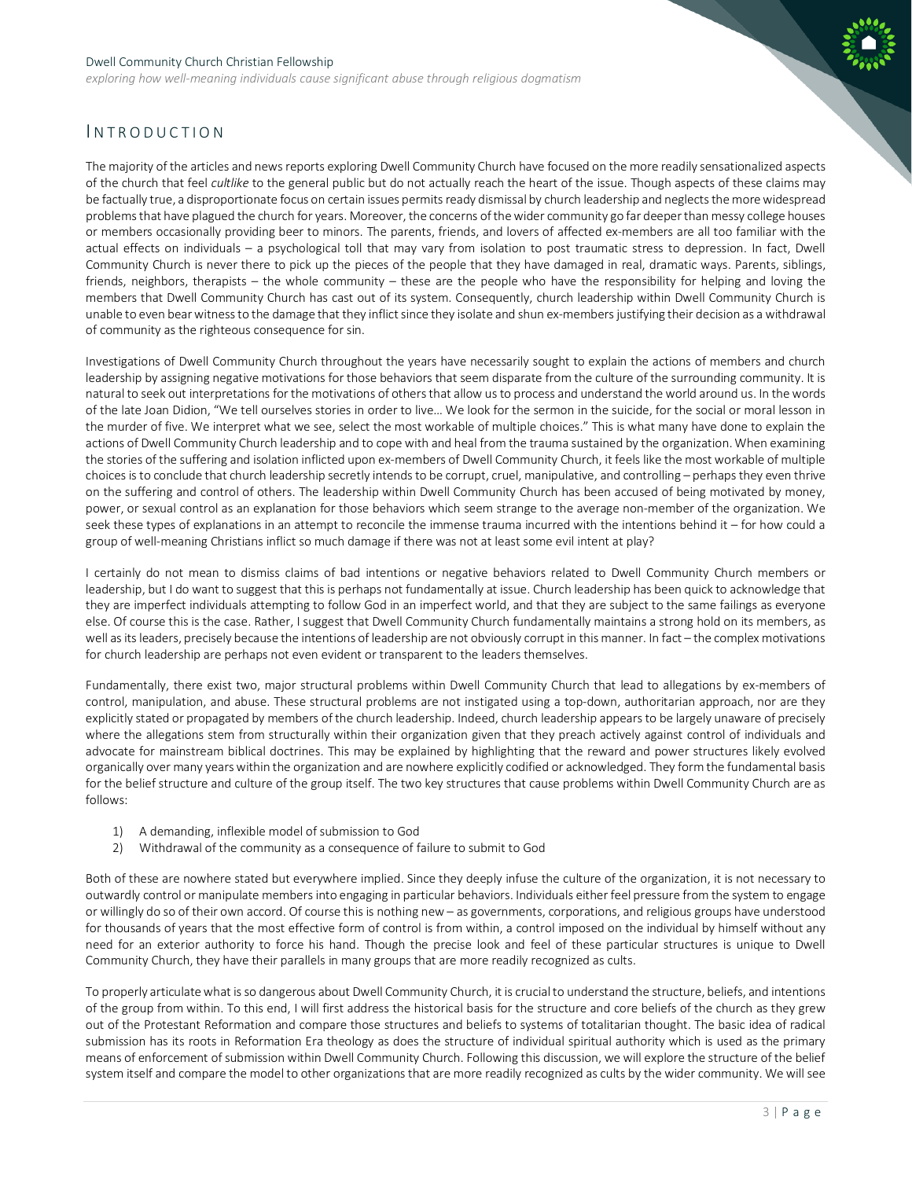*exploring how well-meaning individuals cause significant abuse through religious dogmatism*



## <span id="page-3-0"></span>**INTRODUCTION**

The majority of the articles and news reports exploring Dwell Community Church have focused on the more readily sensationalized aspects of the church that feel *cultlike* to the general public but do not actually reach the heart of the issue. Though aspects of these claims may be factually true, a disproportionate focus on certain issues permits ready dismissal by church leadership and neglects the more widespread problems that have plagued the church for years. Moreover, the concerns of the wider community go far deeper than messy college houses or members occasionally providing beer to minors. The parents, friends, and lovers of affected ex-members are all too familiar with the actual effects on individuals – a psychological toll that may vary from isolation to post traumatic stress to depression. In fact, Dwell Community Church is never there to pick up the pieces of the people that they have damaged in real, dramatic ways. Parents, siblings, friends, neighbors, therapists – the whole community – these are the people who have the responsibility for helping and loving the members that Dwell Community Church has cast out of its system. Consequently, church leadership within Dwell Community Church is unable to even bear witness to the damage that they inflict since they isolate and shun ex-members justifying their decision as a withdrawal of community as the righteous consequence for sin.

Investigations of Dwell Community Church throughout the years have necessarily sought to explain the actions of members and church leadership by assigning negative motivations for those behaviors that seem disparate from the culture of the surrounding community. It is natural to seek out interpretations for the motivations of others that allow us to process and understand the world around us. In the words of the late Joan Didion, "We tell ourselves stories in order to live… We look for the sermon in the suicide, for the social or moral lesson in the murder of five. We interpret what we see, select the most workable of multiple choices." This is what many have done to explain the actions of Dwell Community Church leadership and to cope with and heal from the trauma sustained by the organization. When examining the stories of the suffering and isolation inflicted upon ex-members of Dwell Community Church, it feels like the most workable of multiple choices is to conclude that church leadership secretly intends to be corrupt, cruel, manipulative, and controlling – perhaps they even thrive on the suffering and control of others. The leadership within Dwell Community Church has been accused of being motivated by money, power, or sexual control as an explanation for those behaviors which seem strange to the average non-member of the organization. We seek these types of explanations in an attempt to reconcile the immense trauma incurred with the intentions behind it – for how could a group of well-meaning Christians inflict so much damage if there was not at least some evil intent at play?

I certainly do not mean to dismiss claims of bad intentions or negative behaviors related to Dwell Community Church members or leadership, but I do want to suggest that this is perhaps not fundamentally at issue. Church leadership has been quick to acknowledge that they are imperfect individuals attempting to follow God in an imperfect world, and that they are subject to the same failings as everyone else. Of course this is the case. Rather, I suggest that Dwell Community Church fundamentally maintains a strong hold on its members, as well as its leaders, precisely because the intentions of leadership are not obviously corrupt in this manner. In fact – the complex motivations for church leadership are perhaps not even evident or transparent to the leaders themselves.

Fundamentally, there exist two, major structural problems within Dwell Community Church that lead to allegations by ex-members of control, manipulation, and abuse. These structural problems are not instigated using a top-down, authoritarian approach, nor are they explicitly stated or propagated by members of the church leadership. Indeed, church leadership appears to be largely unaware of precisely where the allegations stem from structurally within their organization given that they preach actively against control of individuals and advocate for mainstream biblical doctrines. This may be explained by highlighting that the reward and power structures likely evolved organically over many years within the organization and are nowhere explicitly codified or acknowledged. They form the fundamental basis for the belief structure and culture of the group itself. The two key structures that cause problems within Dwell Community Church are as follows:

- 1) A demanding, inflexible model of submission to God
- 2) Withdrawal of the community as a consequence of failure to submit to God

Both of these are nowhere stated but everywhere implied. Since they deeply infuse the culture of the organization, it is not necessary to outwardly control or manipulate members into engaging in particular behaviors. Individuals either feel pressure from the system to engage or willingly do so of their own accord. Of course this is nothing new – as governments, corporations, and religious groups have understood for thousands of years that the most effective form of control is from within, a control imposed on the individual by himself without any need for an exterior authority to force his hand. Though the precise look and feel of these particular structures is unique to Dwell Community Church, they have their parallels in many groups that are more readily recognized as cults.

To properly articulate what is so dangerous about Dwell Community Church, it is crucial to understand the structure, beliefs, and intentions of the group from within. To this end, I will first address the historical basis for the structure and core beliefs of the church as they grew out of the Protestant Reformation and compare those structures and beliefs to systems of totalitarian thought. The basic idea of radical submission has its roots in Reformation Era theology as does the structure of individual spiritual authority which is used as the primary means of enforcement of submission within Dwell Community Church. Following this discussion, we will explore the structure of the belief system itself and compare the model to other organizations that are more readily recognized as cults by the wider community. We will see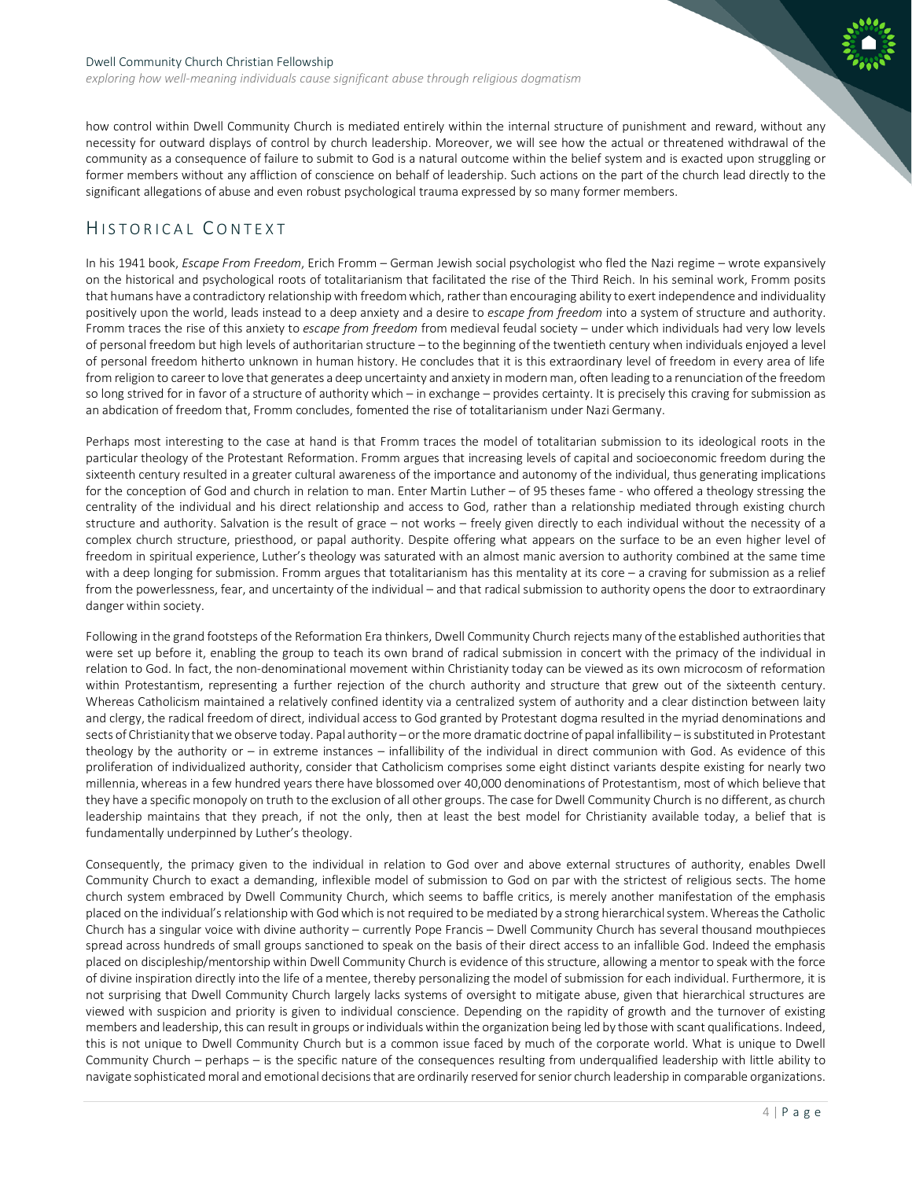#### Dwell Community Church Christian Fellowship *exploring how well-meaning individuals cause significant abuse through religious dogmatism*

how control within Dwell Community Church is mediated entirely within the internal structure of punishment and reward, without any necessity for outward displays of control by church leadership. Moreover, we will see how the actual or threatened withdrawal of the community as a consequence of failure to submit to God is a natural outcome within the belief system and is exacted upon struggling or former members without any affliction of conscience on behalf of leadership. Such actions on the part of the church lead directly to the significant allegations of abuse and even robust psychological trauma expressed by so many former members.

## <span id="page-4-0"></span>HISTORICAL C ONTEXT

In his 1941 book, *Escape From Freedom*, Erich Fromm – German Jewish social psychologist who fled the Nazi regime – wrote expansively on the historical and psychological roots of totalitarianism that facilitated the rise of the Third Reich. In his seminal work, Fromm posits that humans have a contradictory relationship with freedom which, rather than encouraging ability to exert independence and individuality positively upon the world, leads instead to a deep anxiety and a desire to *escape from freedom* into a system of structure and authority. Fromm traces the rise of this anxiety to *escape from freedom* from medieval feudal society – under which individuals had very low levels of personal freedom but high levels of authoritarian structure – to the beginning of the twentieth century when individuals enjoyed a level of personal freedom hitherto unknown in human history. He concludes that it is this extraordinary level of freedom in every area of life from religion to career to love that generates a deep uncertainty and anxiety in modern man, often leading to a renunciation of the freedom so long strived for in favor of a structure of authority which – in exchange – provides certainty. It is precisely this craving for submission as an abdication of freedom that, Fromm concludes, fomented the rise of totalitarianism under Nazi Germany.

Perhaps most interesting to the case at hand is that Fromm traces the model of totalitarian submission to its ideological roots in the particular theology of the Protestant Reformation. Fromm argues that increasing levels of capital and socioeconomic freedom during the sixteenth century resulted in a greater cultural awareness of the importance and autonomy of the individual, thus generating implications for the conception of God and church in relation to man. Enter Martin Luther – of 95 theses fame - who offered a theology stressing the centrality of the individual and his direct relationship and access to God, rather than a relationship mediated through existing church structure and authority. Salvation is the result of grace – not works – freely given directly to each individual without the necessity of a complex church structure, priesthood, or papal authority. Despite offering what appears on the surface to be an even higher level of freedom in spiritual experience, Luther's theology was saturated with an almost manic aversion to authority combined at the same time with a deep longing for submission. Fromm argues that totalitarianism has this mentality at its core – a craving for submission as a relief from the powerlessness, fear, and uncertainty of the individual – and that radical submission to authority opens the door to extraordinary danger within society.

Following in the grand footsteps of the Reformation Era thinkers, Dwell Community Church rejects many of the established authorities that were set up before it, enabling the group to teach its own brand of radical submission in concert with the primacy of the individual in relation to God. In fact, the non-denominational movement within Christianity today can be viewed as its own microcosm of reformation within Protestantism, representing a further rejection of the church authority and structure that grew out of the sixteenth century. Whereas Catholicism maintained a relatively confined identity via a centralized system of authority and a clear distinction between laity and clergy, the radical freedom of direct, individual access to God granted by Protestant dogma resulted in the myriad denominations and sects of Christianity that we observe today. Papal authority – or the more dramatic doctrine of papal infallibility – is substituted in Protestant theology by the authority or – in extreme instances – infallibility of the individual in direct communion with God. As evidence of this proliferation of individualized authority, consider that Catholicism comprises some eight distinct variants despite existing for nearly two millennia, whereas in a few hundred years there have blossomed over 40,000 denominations of Protestantism, most of which believe that they have a specific monopoly on truth to the exclusion of all other groups. The case for Dwell Community Church is no different, as church leadership maintains that they preach, if not the only, then at least the best model for Christianity available today, a belief that is fundamentally underpinned by Luther's theology.

Consequently, the primacy given to the individual in relation to God over and above external structures of authority, enables Dwell Community Church to exact a demanding, inflexible model of submission to God on par with the strictest of religious sects. The home church system embraced by Dwell Community Church, which seems to baffle critics, is merely another manifestation of the emphasis placed on the individual's relationship with God which is not required to be mediated by a strong hierarchical system. Whereas the Catholic Church has a singular voice with divine authority – currently Pope Francis – Dwell Community Church has several thousand mouthpieces spread across hundreds of small groups sanctioned to speak on the basis of their direct access to an infallible God. Indeed the emphasis placed on discipleship/mentorship within Dwell Community Church is evidence of this structure, allowing a mentor to speak with the force of divine inspiration directly into the life of a mentee, thereby personalizing the model of submission for each individual. Furthermore, it is not surprising that Dwell Community Church largely lacks systems of oversight to mitigate abuse, given that hierarchical structures are viewed with suspicion and priority is given to individual conscience. Depending on the rapidity of growth and the turnover of existing members and leadership, this can result in groups or individuals within the organization being led by those with scant qualifications. Indeed, this is not unique to Dwell Community Church but is a common issue faced by much of the corporate world. What is unique to Dwell Community Church – perhaps – is the specific nature of the consequences resulting from underqualified leadership with little ability to navigate sophisticated moral and emotional decisions that are ordinarily reserved for senior church leadership in comparable organizations.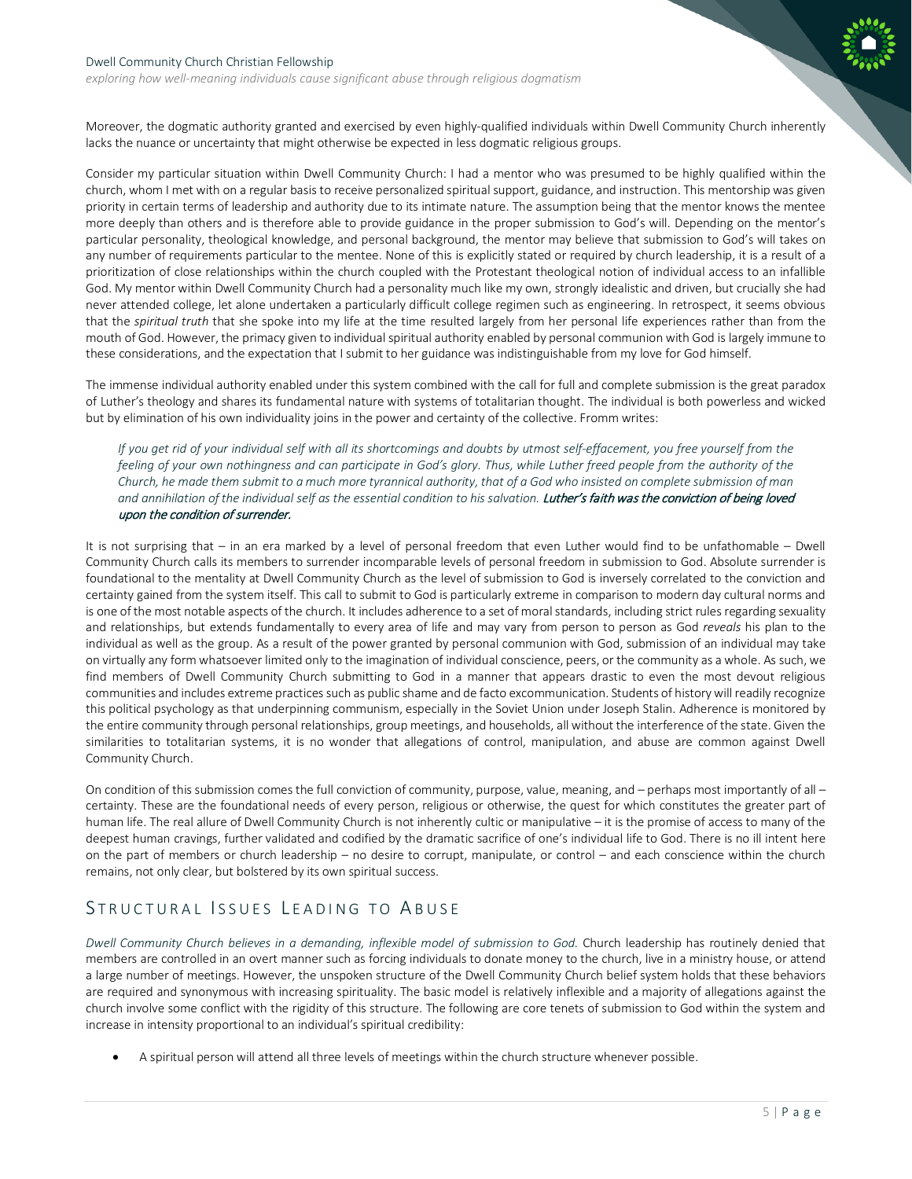*exploring how well-meaning individuals cause significant abuse through religious dogmatism*

Moreover, the dogmatic authority granted and exercised by even highly-qualified individuals within Dwell Community Church inherently lacks the nuance or uncertainty that might otherwise be expected in less dogmatic religious groups.

Consider my particular situation within Dwell Community Church: I had a mentor who was presumed to be highly qualified within the church, whom I met with on a regular basis to receive personalized spiritual support, guidance, and instruction. This mentorship was given priority in certain terms of leadership and authority due to its intimate nature. The assumption being that the mentor knows the mentee more deeply than others and is therefore able to provide guidance in the proper submission to God's will. Depending on the mentor's particular personality, theological knowledge, and personal background, the mentor may believe that submission to God's will takes on any number of requirements particular to the mentee. None of this is explicitly stated or required by church leadership, it is a result of a prioritization of close relationships within the church coupled with the Protestant theological notion of individual access to an infallible God. My mentor within Dwell Community Church had a personality much like my own, strongly idealistic and driven, but crucially she had never attended college, let alone undertaken a particularly difficult college regimen such as engineering. In retrospect, it seems obvious that the *spiritual truth* that she spoke into my life at the time resulted largely from her personal life experiences rather than from the mouth of God. However, the primacy given to individual spiritual authority enabled by personal communion with God is largely immune to these considerations, and the expectation that I submit to her guidance was indistinguishable from my love for God himself.

The immense individual authority enabled under this system combined with the call for full and complete submission is the great paradox of Luther's theology and shares its fundamental nature with systems of totalitarian thought. The individual is both powerless and wicked but by elimination of his own individuality joins in the power and certainty of the collective. Fromm writes:

*If you get rid of your individual self with all its shortcomings and doubts by utmost self-effacement, you free yourself from the feeling of your own nothingness and can participate in God's glory. Thus, while Luther freed people from the authority of the Church, he made them submit to a much more tyrannical authority, that of a God who insisted on complete submission of man*  and annihilation of the individual self as the essential condition to his salvation. Luther's faith was the conviction of being loved upon the condition of surrender.

It is not surprising that – in an era marked by a level of personal freedom that even Luther would find to be unfathomable – Dwell Community Church calls its members to surrender incomparable levels of personal freedom in submission to God. Absolute surrender is foundational to the mentality at Dwell Community Church as the level of submission to God is inversely correlated to the conviction and certainty gained from the system itself. This call to submit to God is particularly extreme in comparison to modern day cultural norms and is one of the most notable aspects of the church. It includes adherence to a set of moral standards, including strict rules regarding sexuality and relationships, but extends fundamentally to every area of life and may vary from person to person as God *reveals* his plan to the individual as well as the group. As a result of the power granted by personal communion with God, submission of an individual may take on virtually any form whatsoever limited only to the imagination of individual conscience, peers, or the community as a whole. As such, we find members of Dwell Community Church submitting to God in a manner that appears drastic to even the most devout religious communities and includes extreme practices such as public shame and de facto excommunication. Students of history will readily recognize this political psychology as that underpinning communism, especially in the Soviet Union under Joseph Stalin. Adherence is monitored by the entire community through personal relationships, group meetings, and households, all without the interference of the state. Given the similarities to totalitarian systems, it is no wonder that allegations of control, manipulation, and abuse are common against Dwell Community Church.

On condition of this submission comes the full conviction of community, purpose, value, meaning, and – perhaps most importantly of all – certainty. These are the foundational needs of every person, religious or otherwise, the quest for which constitutes the greater part of human life. The real allure of Dwell Community Church is not inherently cultic or manipulative – it is the promise of access to many of the deepest human cravings, further validated and codified by the dramatic sacrifice of one's individual life to God. There is no ill intent here on the part of members or church leadership – no desire to corrupt, manipulate, or control – and each conscience within the church remains, not only clear, but bolstered by its own spiritual success.

## <span id="page-5-0"></span>STRUCTURAL ISSUES LEADING TO ABUSE

*Dwell Community Church believes in a demanding, inflexible model of submission to God.* Church leadership has routinely denied that members are controlled in an overt manner such as forcing individuals to donate money to the church, live in a ministry house, or attend a large number of meetings. However, the unspoken structure of the Dwell Community Church belief system holds that these behaviors are required and synonymous with increasing spirituality. The basic model is relatively inflexible and a majority of allegations against the church involve some conflict with the rigidity of this structure. The following are core tenets of submission to God within the system and increase in intensity proportional to an individual's spiritual credibility:

• A spiritual person will attend all three levels of meetings within the church structure whenever possible.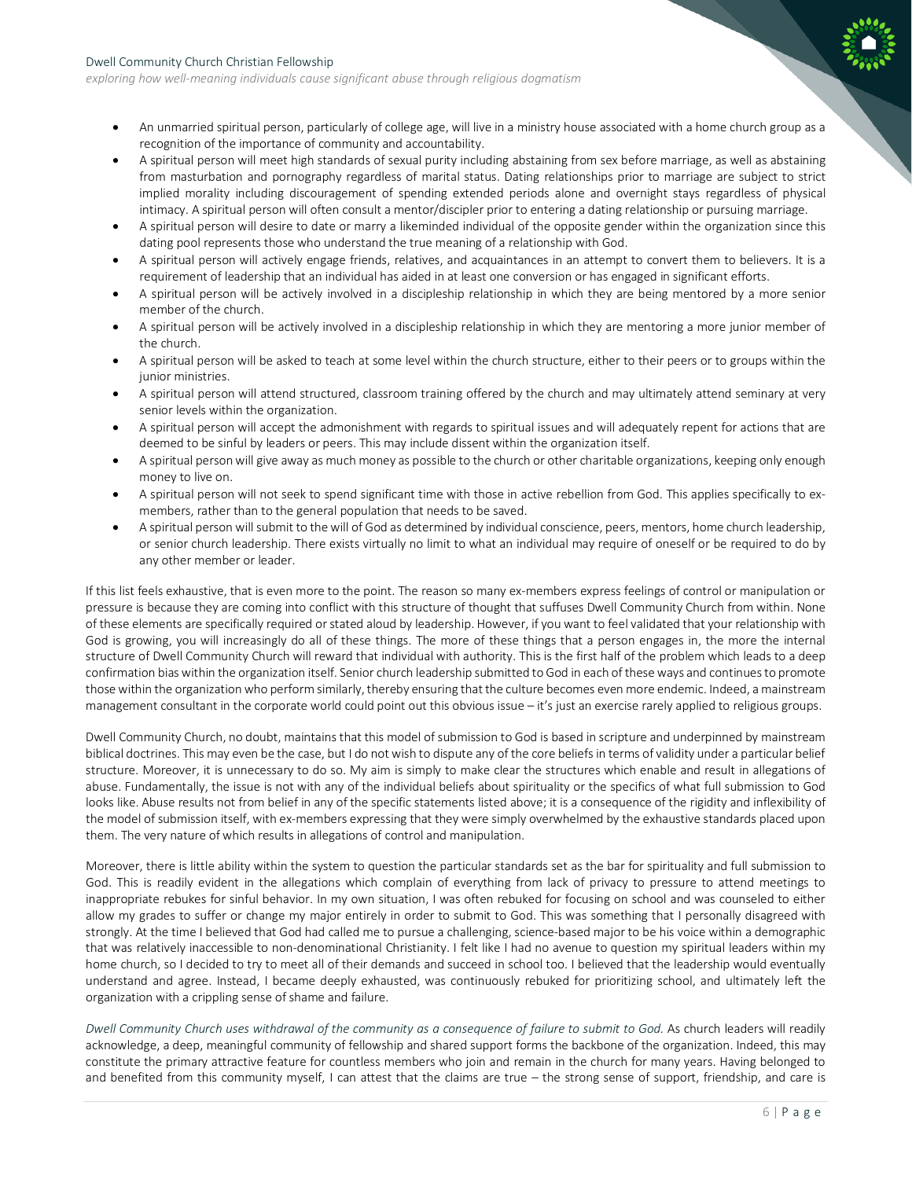*exploring how well-meaning individuals cause significant abuse through religious dogmatism*

- An unmarried spiritual person, particularly of college age, will live in a ministry house associated with a home church group as a recognition of the importance of community and accountability.
- A spiritual person will meet high standards of sexual purity including abstaining from sex before marriage, as well as abstaining from masturbation and pornography regardless of marital status. Dating relationships prior to marriage are subject to strict implied morality including discouragement of spending extended periods alone and overnight stays regardless of physical intimacy. A spiritual person will often consult a mentor/discipler prior to entering a dating relationship or pursuing marriage.
- A spiritual person will desire to date or marry a likeminded individual of the opposite gender within the organization since this dating pool represents those who understand the true meaning of a relationship with God.
- A spiritual person will actively engage friends, relatives, and acquaintances in an attempt to convert them to believers. It is a requirement of leadership that an individual has aided in at least one conversion or has engaged in significant efforts.
- A spiritual person will be actively involved in a discipleship relationship in which they are being mentored by a more senior member of the church.
- A spiritual person will be actively involved in a discipleship relationship in which they are mentoring a more junior member of the church.
- A spiritual person will be asked to teach at some level within the church structure, either to their peers or to groups within the junior ministries.
- A spiritual person will attend structured, classroom training offered by the church and may ultimately attend seminary at very senior levels within the organization.
- A spiritual person will accept the admonishment with regards to spiritual issues and will adequately repent for actions that are deemed to be sinful by leaders or peers. This may include dissent within the organization itself.
- A spiritual person will give away as much money as possible to the church or other charitable organizations, keeping only enough money to live on.
- A spiritual person will not seek to spend significant time with those in active rebellion from God. This applies specifically to exmembers, rather than to the general population that needs to be saved.
- A spiritual person will submit to the will of God as determined by individual conscience, peers, mentors, home church leadership, or senior church leadership. There exists virtually no limit to what an individual may require of oneself or be required to do by any other member or leader.

If this list feels exhaustive, that is even more to the point. The reason so many ex-members express feelings of control or manipulation or pressure is because they are coming into conflict with this structure of thought that suffuses Dwell Community Church from within. None of these elements are specifically required or stated aloud by leadership. However, if you want to feel validated that your relationship with God is growing, you will increasingly do all of these things. The more of these things that a person engages in, the more the internal structure of Dwell Community Church will reward that individual with authority. This is the first half of the problem which leads to a deep confirmation bias within the organization itself. Senior church leadership submitted to God in each of these ways and continues to promote those within the organization who perform similarly, thereby ensuring that the culture becomes even more endemic. Indeed, a mainstream management consultant in the corporate world could point out this obvious issue – it's just an exercise rarely applied to religious groups.

Dwell Community Church, no doubt, maintains that this model of submission to God is based in scripture and underpinned by mainstream biblical doctrines. This may even be the case, but I do not wish to dispute any of the core beliefs in terms of validity under a particular belief structure. Moreover, it is unnecessary to do so. My aim is simply to make clear the structures which enable and result in allegations of abuse. Fundamentally, the issue is not with any of the individual beliefs about spirituality or the specifics of what full submission to God looks like. Abuse results not from belief in any of the specific statements listed above; it is a consequence of the rigidity and inflexibility of the model of submission itself, with ex-members expressing that they were simply overwhelmed by the exhaustive standards placed upon them. The very nature of which results in allegations of control and manipulation.

Moreover, there is little ability within the system to question the particular standards set as the bar for spirituality and full submission to God. This is readily evident in the allegations which complain of everything from lack of privacy to pressure to attend meetings to inappropriate rebukes for sinful behavior. In my own situation, I was often rebuked for focusing on school and was counseled to either allow my grades to suffer or change my major entirely in order to submit to God. This was something that I personally disagreed with strongly. At the time I believed that God had called me to pursue a challenging, science-based major to be his voice within a demographic that was relatively inaccessible to non-denominational Christianity. I felt like I had no avenue to question my spiritual leaders within my home church, so I decided to try to meet all of their demands and succeed in school too. I believed that the leadership would eventually understand and agree. Instead, I became deeply exhausted, was continuously rebuked for prioritizing school, and ultimately left the organization with a crippling sense of shame and failure.

*Dwell Community Church uses withdrawal of the community as a consequence of failure to submit to God.* As church leaders will readily acknowledge, a deep, meaningful community of fellowship and shared support forms the backbone of the organization. Indeed, this may constitute the primary attractive feature for countless members who join and remain in the church for many years. Having belonged to and benefited from this community myself, I can attest that the claims are true – the strong sense of support, friendship, and care is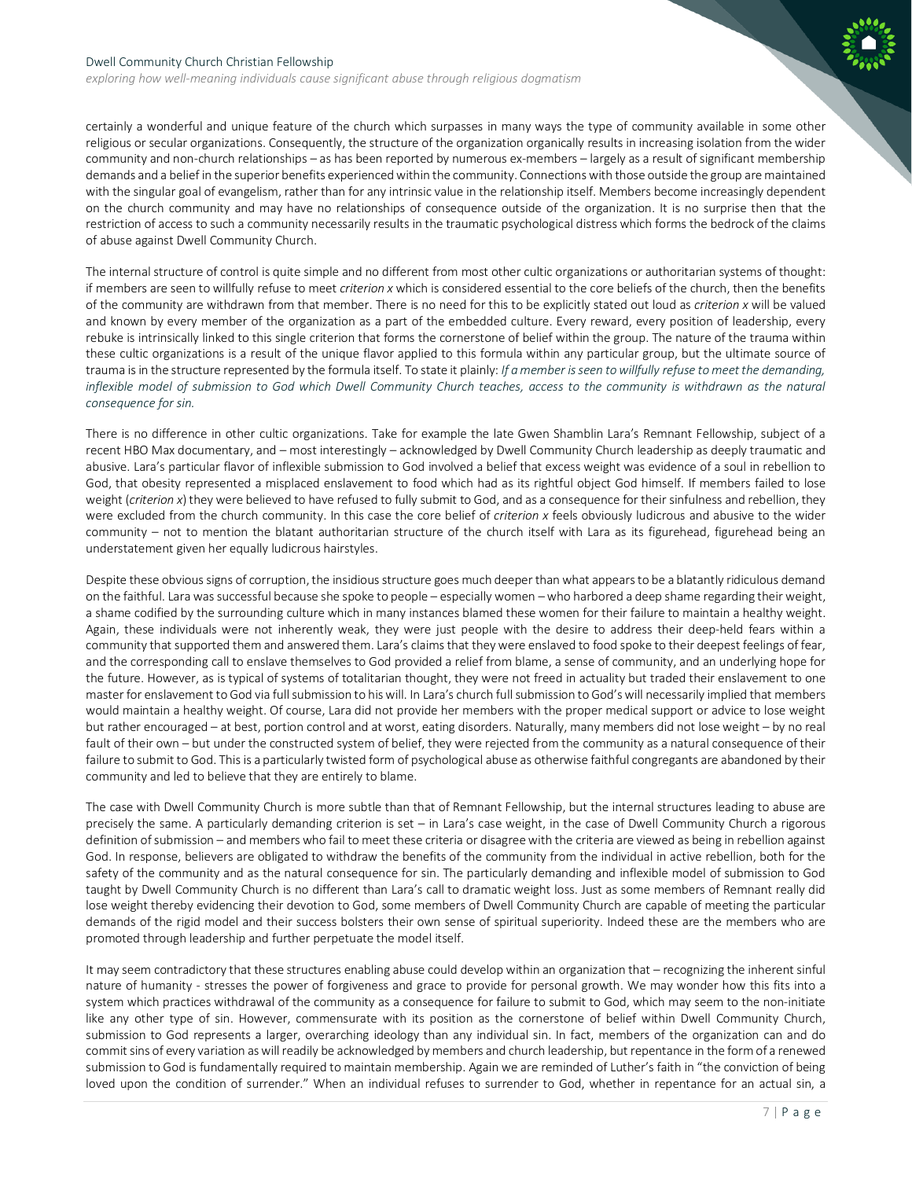

*exploring how well-meaning individuals cause significant abuse through religious dogmatism*

certainly a wonderful and unique feature of the church which surpasses in many ways the type of community available in some other religious or secular organizations. Consequently, the structure of the organization organically results in increasing isolation from the wider community and non-church relationships – as has been reported by numerous ex-members – largely as a result of significant membership demands and a belief in the superior benefits experienced within the community. Connections with those outside the group are maintained with the singular goal of evangelism, rather than for any intrinsic value in the relationship itself. Members become increasingly dependent on the church community and may have no relationships of consequence outside of the organization. It is no surprise then that the restriction of access to such a community necessarily results in the traumatic psychological distress which forms the bedrock of the claims of abuse against Dwell Community Church.

The internal structure of control is quite simple and no different from most other cultic organizations or authoritarian systems of thought: if members are seen to willfully refuse to meet *criterion x* which is considered essential to the core beliefs of the church, then the benefits of the community are withdrawn from that member. There is no need for this to be explicitly stated out loud as *criterion x* will be valued and known by every member of the organization as a part of the embedded culture. Every reward, every position of leadership, every rebuke is intrinsically linked to this single criterion that forms the cornerstone of belief within the group. The nature of the trauma within these cultic organizations is a result of the unique flavor applied to this formula within any particular group, but the ultimate source of trauma is in the structure represented by the formula itself. To state it plainly: *If a member is seen towillfully refuse to meet the demanding, inflexible model of submission to God which Dwell Community Church teaches, access to the community is withdrawn as the natural consequence for sin.*

There is no difference in other cultic organizations. Take for example the late Gwen Shamblin Lara's Remnant Fellowship, subject of a recent HBO Max documentary, and – most interestingly – acknowledged by Dwell Community Church leadership as deeply traumatic and abusive. Lara's particular flavor of inflexible submission to God involved a belief that excess weight was evidence of a soul in rebellion to God, that obesity represented a misplaced enslavement to food which had as its rightful object God himself. If members failed to lose weight (*criterion x*) they were believed to have refused to fully submit to God, and as a consequence for their sinfulness and rebellion, they were excluded from the church community. In this case the core belief of *criterion x* feels obviously ludicrous and abusive to the wider community – not to mention the blatant authoritarian structure of the church itself with Lara as its figurehead, figurehead being an understatement given her equally ludicrous hairstyles.

Despite these obvious signs of corruption, the insidious structure goes much deeper than what appears to be a blatantly ridiculous demand on the faithful. Lara was successful because she spoke to people – especially women –who harbored a deep shame regarding their weight, a shame codified by the surrounding culture which in many instances blamed these women for their failure to maintain a healthy weight. Again, these individuals were not inherently weak, they were just people with the desire to address their deep-held fears within a community that supported them and answered them. Lara's claims that they were enslaved to food spoke to their deepest feelings of fear, and the corresponding call to enslave themselves to God provided a relief from blame, a sense of community, and an underlying hope for the future. However, as is typical of systems of totalitarian thought, they were not freed in actuality but traded their enslavement to one master for enslavement to God via full submission to his will. In Lara's church full submission to God's will necessarily implied that members would maintain a healthy weight. Of course, Lara did not provide her members with the proper medical support or advice to lose weight but rather encouraged – at best, portion control and at worst, eating disorders. Naturally, many members did not lose weight – by no real fault of their own – but under the constructed system of belief, they were rejected from the community as a natural consequence of their failure to submit to God. This is a particularly twisted form of psychological abuse as otherwise faithful congregants are abandoned by their community and led to believe that they are entirely to blame.

The case with Dwell Community Church is more subtle than that of Remnant Fellowship, but the internal structures leading to abuse are precisely the same. A particularly demanding criterion is set – in Lara's case weight, in the case of Dwell Community Church a rigorous definition of submission – and members who fail to meet these criteria or disagree with the criteria are viewed as being in rebellion against God. In response, believers are obligated to withdraw the benefits of the community from the individual in active rebellion, both for the safety of the community and as the natural consequence for sin. The particularly demanding and inflexible model of submission to God taught by Dwell Community Church is no different than Lara's call to dramatic weight loss. Just as some members of Remnant really did lose weight thereby evidencing their devotion to God, some members of Dwell Community Church are capable of meeting the particular demands of the rigid model and their success bolsters their own sense of spiritual superiority. Indeed these are the members who are promoted through leadership and further perpetuate the model itself.

It may seem contradictory that these structures enabling abuse could develop within an organization that – recognizing the inherent sinful nature of humanity - stresses the power of forgiveness and grace to provide for personal growth. We may wonder how this fits into a system which practices withdrawal of the community as a consequence for failure to submit to God, which may seem to the non-initiate like any other type of sin. However, commensurate with its position as the cornerstone of belief within Dwell Community Church, submission to God represents a larger, overarching ideology than any individual sin. In fact, members of the organization can and do commit sins of every variation as will readily be acknowledged by members and church leadership, but repentance in the formof a renewed submission to God is fundamentally required to maintain membership. Again we are reminded of Luther's faith in "the conviction of being loved upon the condition of surrender." When an individual refuses to surrender to God, whether in repentance for an actual sin, a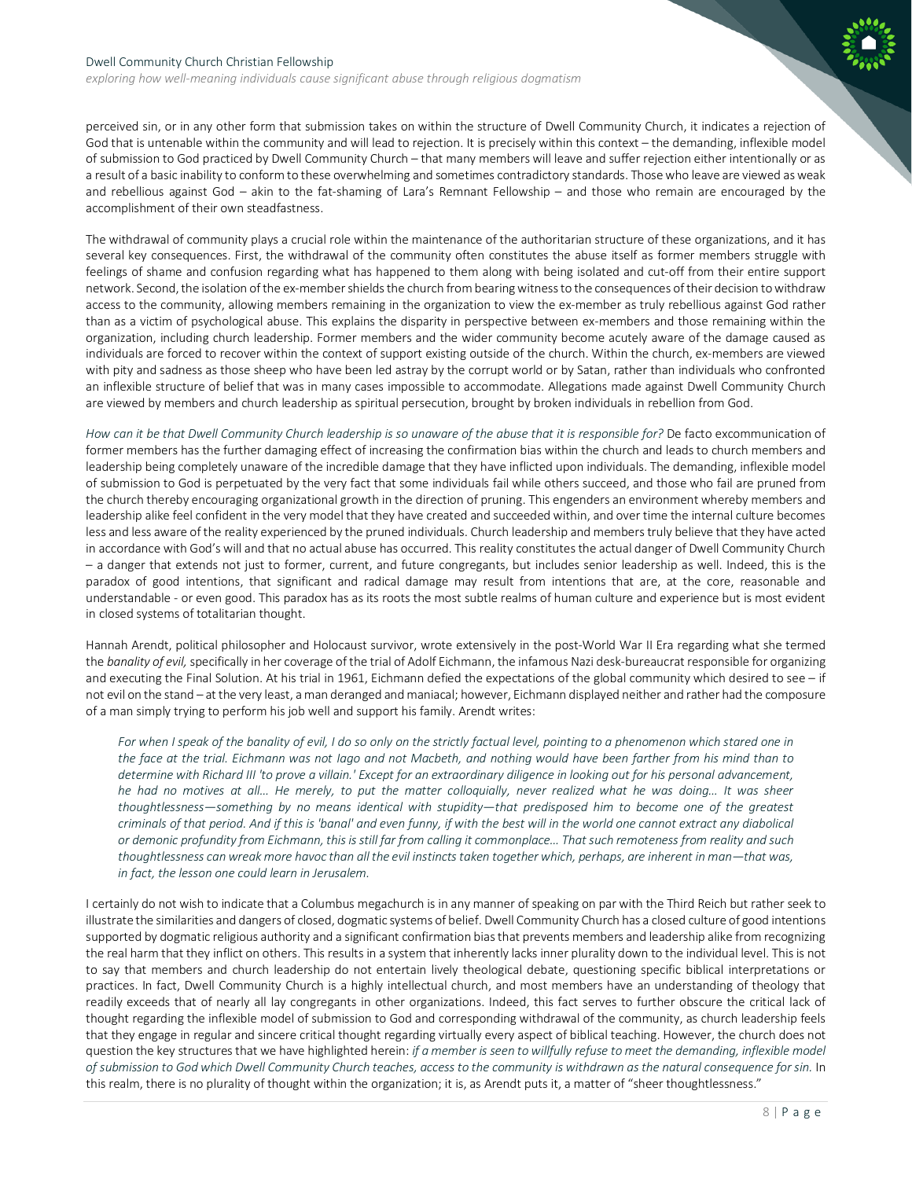*exploring how well-meaning individuals cause significant abuse through religious dogmatism*

perceived sin, or in any other form that submission takes on within the structure of Dwell Community Church, it indicates a rejection of God that is untenable within the community and will lead to rejection. It is precisely within this context – the demanding, inflexible model of submission to God practiced by Dwell Community Church – that many members will leave and suffer rejection either intentionally or as a result of a basic inability to conform to these overwhelming and sometimes contradictory standards. Thosewho leave are viewed as weak and rebellious against God – akin to the fat-shaming of Lara's Remnant Fellowship – and those who remain are encouraged by the accomplishment of their own steadfastness.

The withdrawal of community plays a crucial role within the maintenance of the authoritarian structure of these organizations, and it has several key consequences. First, the withdrawal of the community often constitutes the abuse itself as former members struggle with feelings of shame and confusion regarding what has happened to them along with being isolated and cut-off from their entire support network. Second, the isolation of the ex-member shields the church from bearing witness to the consequences oftheir decision to withdraw access to the community, allowing members remaining in the organization to view the ex-member as truly rebellious against God rather than as a victim of psychological abuse. This explains the disparity in perspective between ex-members and those remaining within the organization, including church leadership. Former members and the wider community become acutely aware of the damage caused as individuals are forced to recover within the context of support existing outside of the church. Within the church, ex-members are viewed with pity and sadness as those sheep who have been led astray by the corrupt world or by Satan, rather than individuals who confronted an inflexible structure of belief that was in many cases impossible to accommodate. Allegations made against Dwell Community Church are viewed by members and church leadership as spiritual persecution, brought by broken individuals in rebellion from God.

*How can it be that Dwell Community Church leadership is so unaware of the abuse that it is responsible for?* De facto excommunication of former members has the further damaging effect of increasing the confirmation bias within the church and leads to church members and leadership being completely unaware of the incredible damage that they have inflicted upon individuals. The demanding, inflexible model of submission to God is perpetuated by the very fact that some individuals fail while others succeed, and those who fail are pruned from the church thereby encouraging organizational growth in the direction of pruning. This engenders an environment whereby members and leadership alike feel confident in the very model that they have created and succeeded within, and over time the internal culture becomes less and less aware of the reality experienced by the pruned individuals. Church leadership and members truly believe that they have acted in accordance with God's will and that no actual abuse has occurred. This reality constitutes the actual danger of Dwell Community Church – a danger that extends not just to former, current, and future congregants, but includes senior leadership as well. Indeed, this is the paradox of good intentions, that significant and radical damage may result from intentions that are, at the core, reasonable and understandable - or even good. This paradox has as its roots the most subtle realms of human culture and experience but is most evident in closed systems of totalitarian thought.

Hannah Arendt, political philosopher and Holocaust survivor, wrote extensively in the post-World War II Era regarding what she termed the *banality of evil,* specifically in her coverage of the trial of Adolf Eichmann, the infamous Nazi desk-bureaucrat responsible for organizing and executing the Final Solution. At his trial in 1961, Eichmann defied the expectations of the global community which desired to see - if not evil on the stand – at the very least, a man deranged and maniacal; however, Eichmann displayed neither and rather had the composure of a man simply trying to perform his job well and support his family. Arendt writes:

For when I speak of the banality of evil, I do so only on the strictly factual level, pointing to a phenomenon which stared one in *the face at the trial. Eichmann was not Iago and not Macbeth, and nothing would have been farther from his mind than to determine with Richard III 'to prove a villain.' Except for an extraordinary diligence in looking out for his personal advancement, he had no motives at all… He merely, to put the matter colloquially, never realized what he was doing… It was sheer thoughtlessness—something by no means identical with stupidity—that predisposed him to become one of the greatest criminals of that period. And if this is 'banal' and even funny, if with the best will in the world one cannot extract any diabolical or demonic profundity from Eichmann, this is still far from calling it commonplace… That such remoteness from reality and such thoughtlessness can wreak more havoc than all the evil instincts taken together which, perhaps, are inherent in man—that was, in fact, the lesson one could learn in Jerusalem.*

I certainly do not wish to indicate that a Columbus megachurch is in any manner of speaking on par with the Third Reich but rather seek to illustrate the similarities and dangers of closed, dogmatic systems of belief. Dwell Community Church has a closed culture of good intentions supported by dogmatic religious authority and a significant confirmation bias that prevents members and leadership alike from recognizing the real harm that they inflict on others. This results in a system that inherently lacks inner plurality down to the individual level. This is not to say that members and church leadership do not entertain lively theological debate, questioning specific biblical interpretations or practices. In fact, Dwell Community Church is a highly intellectual church, and most members have an understanding of theology that readily exceeds that of nearly all lay congregants in other organizations. Indeed, this fact serves to further obscure the critical lack of thought regarding the inflexible model of submission to God and corresponding withdrawal of the community, as church leadership feels that they engage in regular and sincere critical thought regarding virtually every aspect of biblical teaching. However, the church does not question the key structures that we have highlighted herein: *if a member is seen to willfully refuse to meet the demanding, inflexible model of submission to God which Dwell Community Church teaches, access to the community is withdrawn as the natural consequence for sin.* In this realm, there is no plurality of thought within the organization; it is, as Arendt puts it, a matter of "sheer thoughtlessness."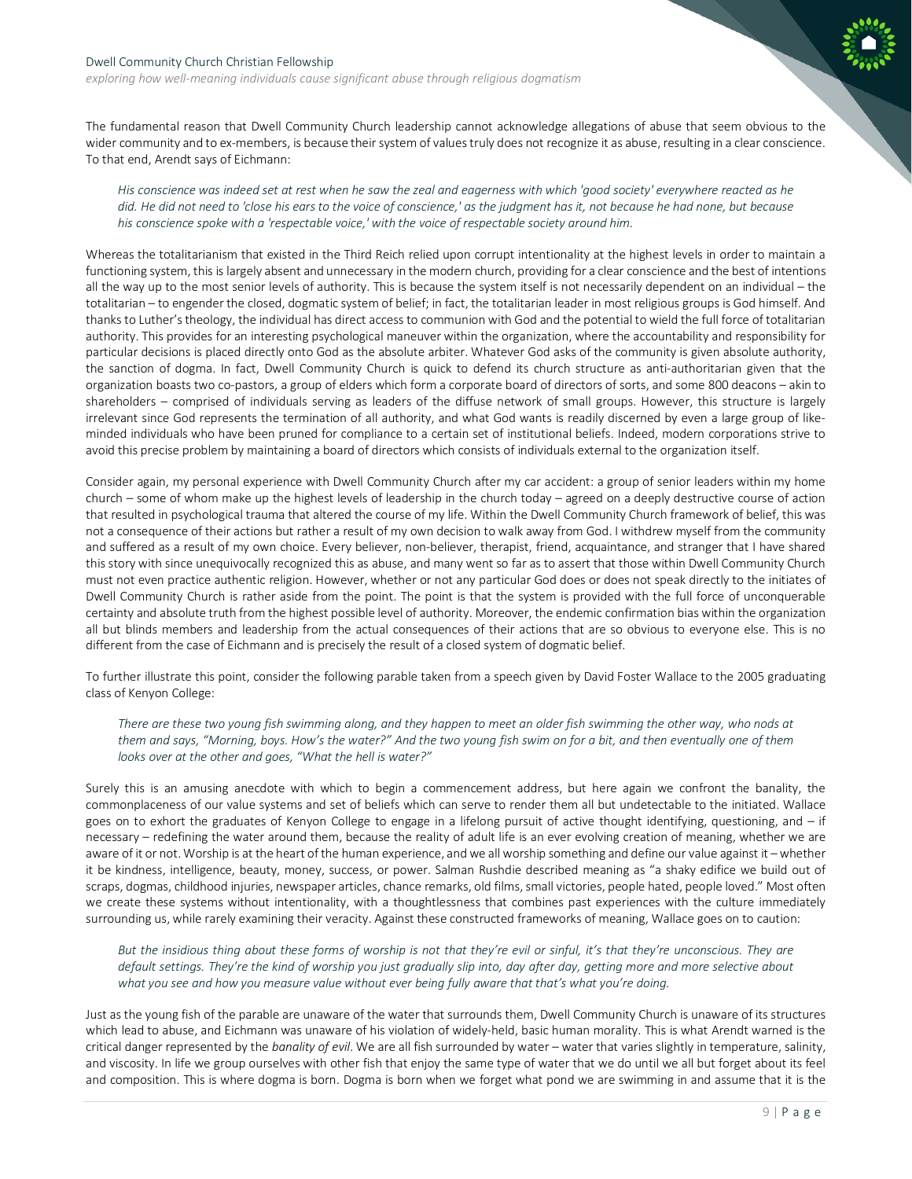*exploring how well-meaning individuals cause significant abuse through religious dogmatism*

The fundamental reason that Dwell Community Church leadership cannot acknowledge allegations of abuse that seem obvious to the wider community and to ex-members, is because their system of values truly does not recognize it as abuse, resulting in a clear conscience. To that end, Arendt says of Eichmann:

*His conscience was indeed set at rest when he saw the zeal and eagerness with which 'good society' everywhere reacted as he did. He did not need to 'close his ears to the voice of conscience,' as the judgment has it, not because he had none, but because his conscience spoke with a 'respectable voice,' with the voice of respectable society around him.*

Whereas the totalitarianism that existed in the Third Reich relied upon corrupt intentionality at the highest levels in order to maintain a functioning system, this is largely absent and unnecessary in the modern church, providing for a clear conscience and the best of intentions all the way up to the most senior levels of authority. This is because the system itself is not necessarily dependent on an individual – the totalitarian – to engender the closed, dogmatic system of belief; in fact, the totalitarian leader in most religious groups is God himself. And thanks to Luther's theology, the individual has direct access to communion with God and the potential to wield the full force of totalitarian authority. This provides for an interesting psychological maneuver within the organization, where the accountability and responsibility for particular decisions is placed directly onto God as the absolute arbiter. Whatever God asks of the community is given absolute authority, the sanction of dogma. In fact, Dwell Community Church is quick to defend its church structure as anti-authoritarian given that the organization boasts two co-pastors, a group of elders which form a corporate board of directors of sorts, and some 800 deacons – akin to shareholders – comprised of individuals serving as leaders of the diffuse network of small groups. However, this structure is largely irrelevant since God represents the termination of all authority, and what God wants is readily discerned by even a large group of likeminded individuals who have been pruned for compliance to a certain set of institutional beliefs. Indeed, modern corporations strive to avoid this precise problem by maintaining a board of directors which consists of individuals external to the organization itself.

Consider again, my personal experience with Dwell Community Church after my car accident: a group of senior leaders within my home church – some of whom make up the highest levels of leadership in the church today – agreed on a deeply destructive course of action that resulted in psychological trauma that altered the course of my life. Within the Dwell Community Church framework of belief, this was not a consequence of their actions but rather a result of my own decision to walk away from God. I withdrew myself from the community and suffered as a result of my own choice. Every believer, non-believer, therapist, friend, acquaintance, and stranger that I have shared this story with since unequivocally recognized this as abuse, and many went so far as to assert that those within Dwell Community Church must not even practice authentic religion. However, whether or not any particular God does or does not speak directly to the initiates of Dwell Community Church is rather aside from the point. The point is that the system is provided with the full force of unconquerable certainty and absolute truth from the highest possible level of authority. Moreover, the endemic confirmation bias within the organization all but blinds members and leadership from the actual consequences of their actions that are so obvious to everyone else. This is no different from the case of Eichmann and is precisely the result of a closed system of dogmatic belief.

To further illustrate this point, consider the following parable taken from a speech given by David Foster Wallace to the 2005 graduating class of Kenyon College:

*There are these two young fish swimming along, and they happen to meet an older fish swimming the other way, who nods at them and says, "Morning, boys. How's the water?" And the two young fish swim on for a bit, and then eventually one of them looks over at the other and goes, "What the hell is water?"*

Surely this is an amusing anecdote with which to begin a commencement address, but here again we confront the banality, the commonplaceness of our value systems and set of beliefs which can serve to render them all but undetectable to the initiated. Wallace goes on to exhort the graduates of Kenyon College to engage in a lifelong pursuit of active thought identifying, questioning, and – if necessary – redefining the water around them, because the reality of adult life is an ever evolving creation of meaning, whether we are aware of it or not. Worship is at the heart of the human experience, and we all worship something and define our value against it –whether it be kindness, intelligence, beauty, money, success, or power. Salman Rushdie described meaning as "a shaky edifice we build out of scraps, dogmas, childhood injuries, newspaper articles, chance remarks, old films, small victories, people hated, people loved." Most often we create these systems without intentionality, with a thoughtlessness that combines past experiences with the culture immediately surrounding us, while rarely examining their veracity. Against these constructed frameworks of meaning, Wallace goes on to caution:

*But the insidious thing about these forms of worship is not that they're evil or sinful, it's that they're unconscious. They are default settings. They're the kind of worship you just gradually slip into, day after day, getting more and more selective about what you see and how you measure value without ever being fully aware that that's what you're doing.*

Just as the young fish of the parable are unaware of the water that surrounds them, Dwell Community Church is unaware of its structures which lead to abuse, and Eichmann was unaware of his violation of widely-held, basic human morality. This is what Arendt warned is the critical danger represented by the *banality of evil*. We are all fish surrounded by water – water that varies slightly in temperature, salinity, and viscosity. In life we group ourselves with other fish that enjoy the same type of water that we do until we all but forget about its feel and composition. This is where dogma is born. Dogma is born when we forget what pond we are swimming in and assume that it is the